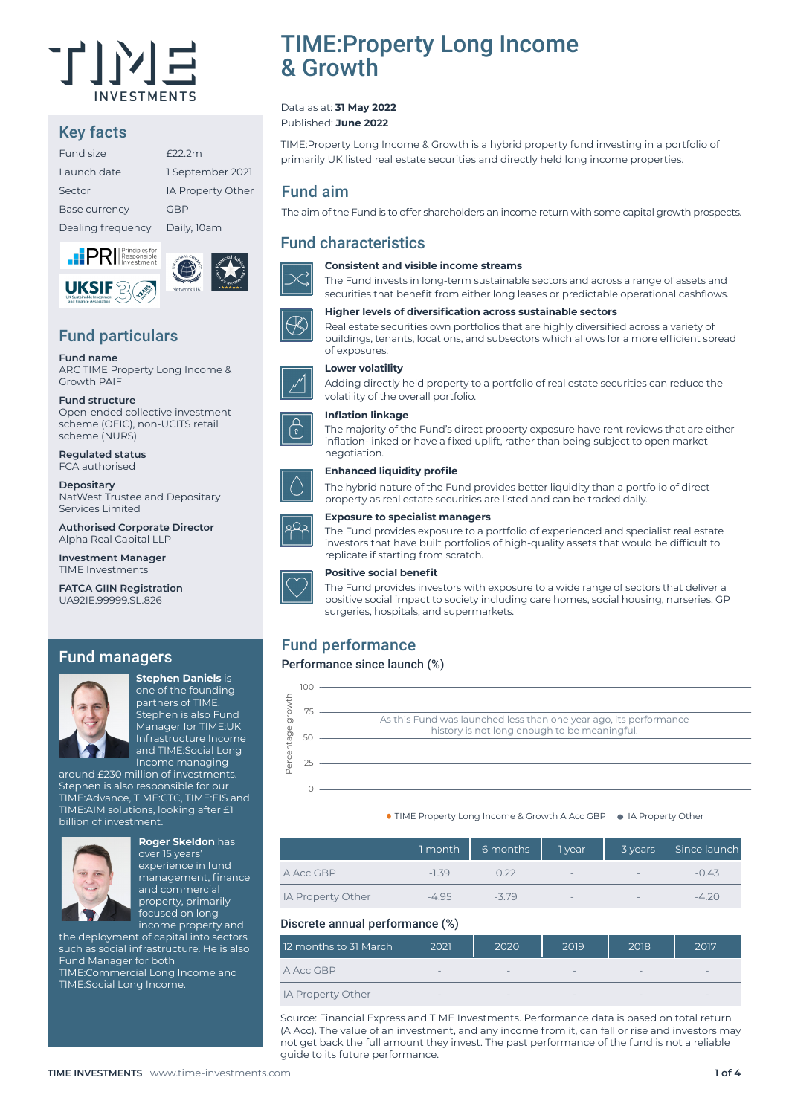

# Key facts

| Fund size            | F22.2m            |
|----------------------|-------------------|
| Launch date          | 1 September 2021  |
| Sector               | IA Property Other |
| <b>Base currency</b> | GBP               |
| Dealing frequency    | Daily, 10am       |
|                      |                   |





# Fund particulars

#### **Fund name**

ARC TIME Property Long Income & Growth PAIF

#### **Fund structure**

Open-ended collective investment scheme (OEIC), non-UCITS retail scheme (NURS)

**Regulated status** FCA authorised

**Depositary** NatWest Trustee and Depositary Services Limited

**Authorised Corporate Director** Alpha Real Capital LLP

**Investment Manager** TIME Investments

**FATCA GIIN Registration** UA92IE.99999.SL.826

## Fund managers



**Stephen Daniels** is one of the founding partners of TIME. Stephen is also Fund Manager for TIME:UK Infrastructure Income and TIME:Social Long Income managing

around £230 million of investments. Stephen is also responsible for our TIME:Advance, TIME:CTC, TIME:EIS and TIME:AIM solutions, looking after £1 billion of investment.



## **Roger Skeldon** has

over 15 years' experience in fund management, finance and commercial property, primarily focused on long income property and

the deployment of capital into sectors such as social infrastructure. He is also Fund Manager for both TIME:Commercial Long Income and TIME:Social Long Income.

TIME:Property Long Income & Growth

#### Data as at: **31 May 2022** Published: **June 2022**

TIME:Property Long Income & Growth is a hybrid property fund investing in a portfolio of primarily UK listed real estate securities and directly held long income properties.

## Fund aim

The aim of the Fund is to offer shareholders an income return with some capital growth prospects.

## Fund characteristics



### **Consistent and visible income streams**

The Fund invests in long-term sustainable sectors and across a range of assets and securities that benefit from either long leases or predictable operational cashflows.



## **Higher levels of diversification across sustainable sectors**

Real estate securities own portfolios that are highly diversified across a variety of buildings, tenants, locations, and subsectors which allows for a more efficient spread of exposures.

### **Lower volatility**

Adding directly held property to a portfolio of real estate securities can reduce the volatility of the overall portfolio.

The majority of the Fund's direct property exposure have rent reviews that are either inflation-linked or have a fixed uplift, rather than being subject to open market

#### **Inflation linkage**

negotiation.



#### **Enhanced liquidity profile**

#### **Exposure to specialist managers**

The Fund provides exposure to a portfolio of experienced and specialist real estate investors that have built portfolios of high-quality assets that would be difficult to replicate if starting from scratch.

The hybrid nature of the Fund provides better liquidity than a portfolio of direct

property as real estate securities are listed and can be traded daily.



#### **Positive social benefit**

The Fund provides investors with exposure to a wide range of sectors that deliver a positive social impact to society including care homes, social housing, nurseries, GP surgeries, hospitals, and supermarkets.

# Fund performance

### Performance since launch (%)



● TIME Property Long Income & Growth A Acc GBP ● IA Property Other

|                   | 1 month | 6 months | 1 year                   | 3 years                  | Since launch |
|-------------------|---------|----------|--------------------------|--------------------------|--------------|
| A Acc GBP         | $-1.39$ | O 22     | $\overline{\phantom{m}}$ | $\overline{\phantom{m}}$ | $-0.43$      |
| IA Property Other | $-495$  | -379     | $-$                      | $\overline{\phantom{m}}$ | $-4.20$      |

### Discrete annual performance (%)

| 12 months to 31 March | 2021                     | 2020                            | 2019            | 2018                         | 2017                     |
|-----------------------|--------------------------|---------------------------------|-----------------|------------------------------|--------------------------|
| A Acc GBP             | $\overline{\phantom{a}}$ | $\hspace{0.1mm}-\hspace{0.1mm}$ | $\qquad \qquad$ | $\qquad \qquad \blacksquare$ | $\sim$                   |
| IA Property Other     | $\overline{\phantom{a}}$ | $\hspace{0.1mm}-\hspace{0.1mm}$ | $-$             | $\qquad \qquad \blacksquare$ | $\overline{\phantom{a}}$ |

Source: Financial Express and TIME Investments. Performance data is based on total return (A Acc). The value of an investment, and any income from it, can fall or rise and investors may not get back the full amount they invest. The past performance of the fund is not a reliable guide to its future performance.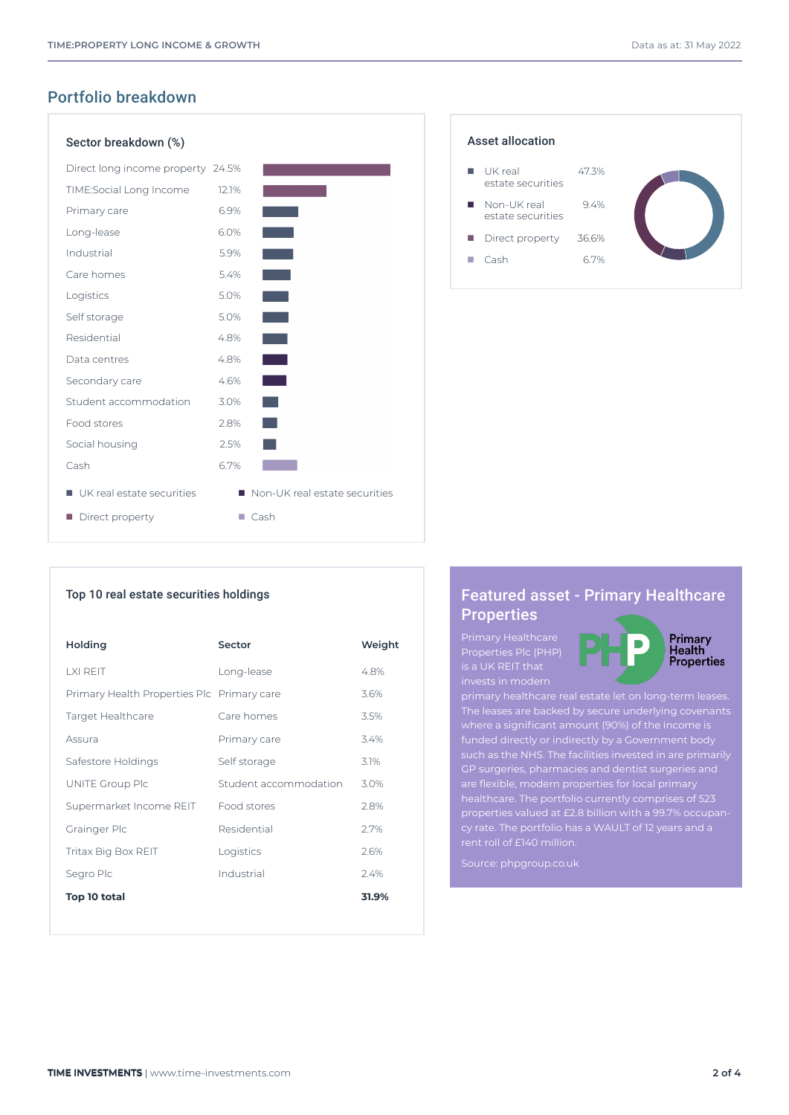# Portfolio breakdown

| Sector breakdown (%)              |       |                               |
|-----------------------------------|-------|-------------------------------|
| Direct long income property 24.5% |       |                               |
| TIME:Social Long Income           | 12.1% |                               |
| Primary care                      | 6.9%  |                               |
| Long-lease                        | 6.0%  |                               |
| Industrial                        | 5.9%  |                               |
| Care homes                        | 5.4%  | <b>Service Service</b>        |
| Logistics                         | 5.0%  | <b>Service Service</b>        |
| Self storage                      | 5.0%  | an an                         |
| Residential                       | 4.8%  |                               |
| Data centres                      | 4.8%  |                               |
| Secondary care                    | 4.6%  |                               |
| Student accommodation             | 3.0%  |                               |
| Food stores                       | 2.8%  |                               |
| Social housing                    | 2.5%  |                               |
| Cash                              | 6.7%  |                               |
| UK real estate securities         |       | Non-UK real estate securities |
| Direct property                   |       | Cash                          |



### Top 10 real estate securities holdings

| Holding                                    | <b>Sector</b>         | Weight |
|--------------------------------------------|-----------------------|--------|
| I XI REIT                                  | Long-lease            | 4.8%   |
| Primary Health Properties Plc Primary care |                       | 3.6%   |
| Target Healthcare                          | Care homes            | 3.5%   |
| Assura                                     | Primary care          | 3.4%   |
| Safestore Holdings                         | Self storage          | 3.1%   |
| UNITE Group Plc                            | Student accommodation | 3.0%   |
| Supermarket Income REIT                    | Food stores           | 2.8%   |
| Grainger Plc                               | Residential           | 2.7%   |
| Tritax Big Box REIT                        | Logistics             | 2.6%   |
| Segro Plc                                  | Industrial            | 2.4%   |
| Top 10 total                               |                       | 31.9%  |

# Featured asset - Primary Healthcare **Properties**

Primary Healthcare Properties Plc (PHP) is a UK REIT that



The leases are backed by secure underlying covenants where a significant amount (90%) of the income is such as the NHS. The facilities invested in are primarily GP surgeries, pharmacies and dentist surgeries and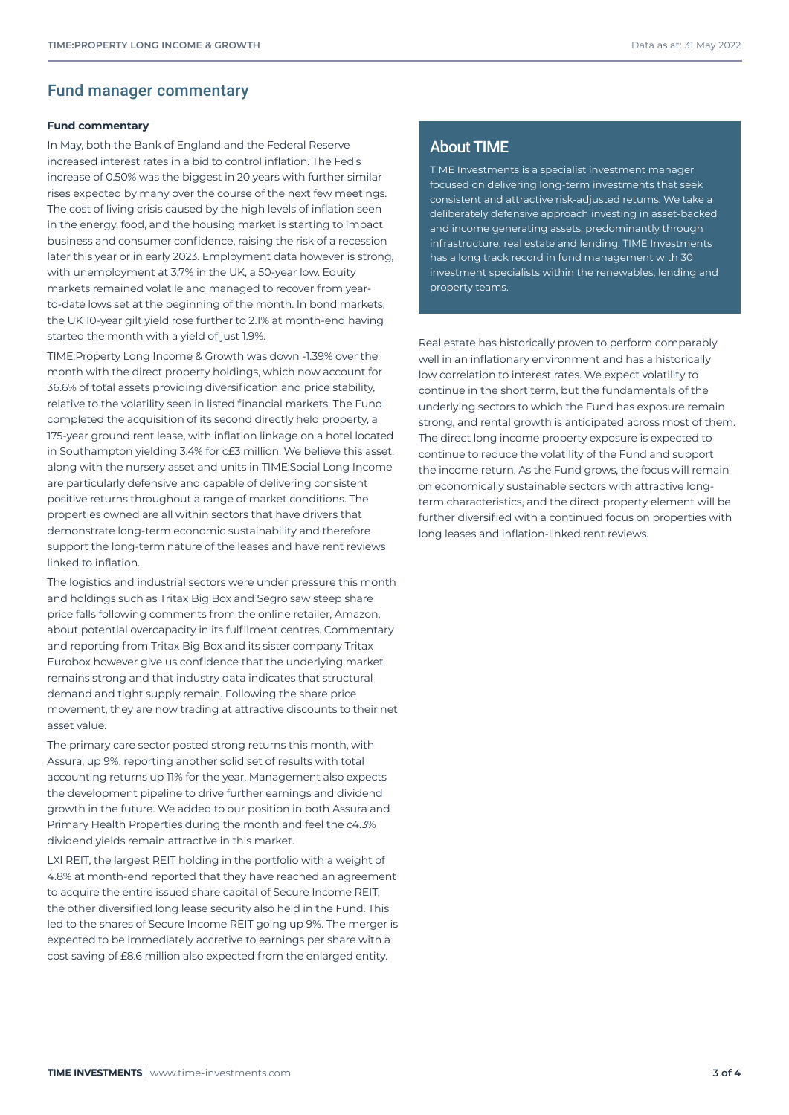### Fund manager commentary

#### **Fund commentary**

In May, both the Bank of England and the Federal Reserve increased interest rates in a bid to control inflation. The Fed's increase of 0.50% was the biggest in 20 years with further similar rises expected by many over the course of the next few meetings. The cost of living crisis caused by the high levels of inflation seen in the energy, food, and the housing market is starting to impact business and consumer confidence, raising the risk of a recession later this year or in early 2023. Employment data however is strong, with unemployment at 3.7% in the UK, a 50-year low. Equity markets remained volatile and managed to recover from yearto-date lows set at the beginning of the month. In bond markets, the UK 10-year gilt yield rose further to 2.1% at month-end having started the month with a yield of just 1.9%.

TIME:Property Long Income & Growth was down -1.39% over the month with the direct property holdings, which now account for 36.6% of total assets providing diversification and price stability, relative to the volatility seen in listed financial markets. The Fund completed the acquisition of its second directly held property, a 175-year ground rent lease, with inflation linkage on a hotel located in Southampton yielding 3.4% for c£3 million. We believe this asset, along with the nursery asset and units in TIME:Social Long Income are particularly defensive and capable of delivering consistent positive returns throughout a range of market conditions. The properties owned are all within sectors that have drivers that demonstrate long-term economic sustainability and therefore support the long-term nature of the leases and have rent reviews linked to inflation.

The logistics and industrial sectors were under pressure this month and holdings such as Tritax Big Box and Segro saw steep share price falls following comments from the online retailer, Amazon, about potential overcapacity in its fulfilment centres. Commentary and reporting from Tritax Big Box and its sister company Tritax Eurobox however give us confidence that the underlying market remains strong and that industry data indicates that structural demand and tight supply remain. Following the share price movement, they are now trading at attractive discounts to their net asset value.

The primary care sector posted strong returns this month, with Assura, up 9%, reporting another solid set of results with total accounting returns up 11% for the year. Management also expects the development pipeline to drive further earnings and dividend growth in the future. We added to our position in both Assura and Primary Health Properties during the month and feel the c4.3% dividend yields remain attractive in this market.

LXI REIT, the largest REIT holding in the portfolio with a weight of 4.8% at month-end reported that they have reached an agreement to acquire the entire issued share capital of Secure Income REIT, the other diversified long lease security also held in the Fund. This led to the shares of Secure Income REIT going up 9%. The merger is expected to be immediately accretive to earnings per share with a cost saving of £8.6 million also expected from the enlarged entity.

## About TIME

TIME Investments is a specialist investment manager focused on delivering long-term investments that seek consistent and attractive risk-adjusted returns. We take a deliberately defensive approach investing in asset-backed and income generating assets, predominantly through infrastructure, real estate and lending. TIME Investments has a long track record in fund management with 30 investment specialists within the renewables, lending and property teams.

Real estate has historically proven to perform comparably well in an inflationary environment and has a historically low correlation to interest rates. We expect volatility to continue in the short term, but the fundamentals of the underlying sectors to which the Fund has exposure remain strong, and rental growth is anticipated across most of them. The direct long income property exposure is expected to continue to reduce the volatility of the Fund and support the income return. As the Fund grows, the focus will remain on economically sustainable sectors with attractive longterm characteristics, and the direct property element will be further diversified with a continued focus on properties with long leases and inflation-linked rent reviews.